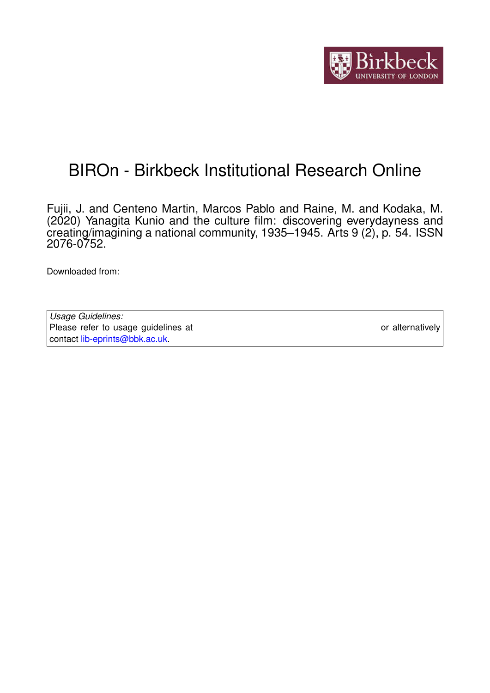

# BIROn - Birkbeck Institutional Research Online

Fujii, J. and Centeno Martin, Marcos Pablo and Raine, M. and Kodaka, M. (2020) Yanagita Kunio and the culture film: discovering everydayness and creating/imagining a national community, 1935–1945. Arts 9 (2), p. 54. ISSN 2076-0752.

Downloaded from: <https://eprints.bbk.ac.uk/id/eprint/40888/>

*Usage Guidelines:* Please refer to usage guidelines at <https://eprints.bbk.ac.uk/policies.html> or alternatively contact [lib-eprints@bbk.ac.uk.](mailto:lib-eprints@bbk.ac.uk)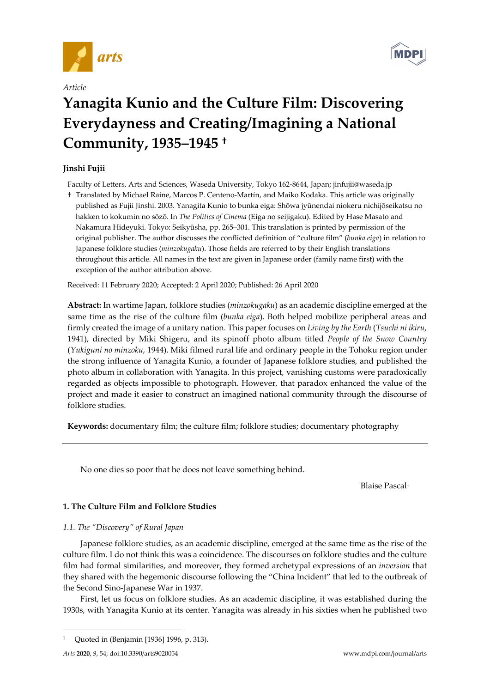



## *Article*

# **Yanagita Kunio and the Culture Film: Discovering Everydayness and Creating/Imagining a National Community, 1935–1945 †**

## **Jinshi Fujii**

Faculty of Letters, Arts and Sciences, Waseda University, Tokyo 162-8644, Japan; jinfujii@waseda.jp

† Translated by Michael Raine, Marcos P. Centeno-Martín, and Maiko Kodaka. This article was originally published as Fujii Jinshi. 2003. Yanagita Kunio to bunka eiga: Shōwa jyūnendai niokeru nichijōseikatsu no hakken to kokumin no sōzō. In *The Politics of Cinema* (Eiga no seijigaku). Edited by Hase Masato and Nakamura Hideyuki. Tokyo: Seikyūsha, pp. 265–301. This translation is printed by permission of the original publisher. The author discusses the conflicted definition of "culture film" (*bunka eiga*) in relation to Japanese folklore studies (*minzokugaku*). Those fields are referred to by their English translations throughout this article. All names in the text are given in Japanese order (family name first) with the exception of the author attribution above.

Received: 11 February 2020; Accepted: 2 April 2020; Published: 26 April 2020

**Abstract:** In wartime Japan, folklore studies (*minzokugaku*) as an academic discipline emerged at the same time as the rise of the culture film (*bunka eiga*). Both helped mobilize peripheral areas and firmly created the image of a unitary nation. This paper focuses on *Living by the Earth* (*Tsuchi ni ikiru*, 1941), directed by Miki Shigeru, and its spinoff photo album titled *People of the Snow Country*  (*Yukiguni no minzoku*, 1944). Miki filmed rural life and ordinary people in the Tohoku region under the strong influence of Yanagita Kunio, a founder of Japanese folklore studies, and published the photo album in collaboration with Yanagita. In this project, vanishing customs were paradoxically regarded as objects impossible to photograph. However, that paradox enhanced the value of the project and made it easier to construct an imagined national community through the discourse of folklore studies.

**Keywords:** documentary film; the culture film; folklore studies; documentary photography

No one dies so poor that he does not leave something behind.

Blaise Pascal1

## **1. The Culture Film and Folklore Studies**

## *1.1. The "Discovery" of Rural Japan*

Japanese folklore studies, as an academic discipline, emerged at the same time as the rise of the culture film. I do not think this was a coincidence. The discourses on folklore studies and the culture film had formal similarities, and moreover, they formed archetypal expressions of an *inversion* that they shared with the hegemonic discourse following the "China Incident" that led to the outbreak of the Second Sino-Japanese War in 1937.

First, let us focus on folklore studies. As an academic discipline, it was established during the 1930s, with Yanagita Kunio at its center. Yanagita was already in his sixties when he published two

<sup>1</sup> Quoted in (Benjamin [1936] 1996, p. 313).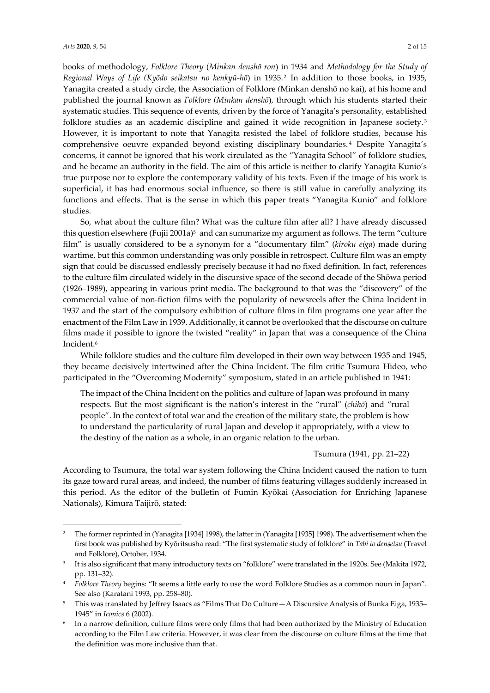books of methodology, *Folklore Theory* (*Minkan denshō ron*) in 1934 and *Methodology for the Study of Regional Ways of Life (Kyōdo seikatsu no kenkyū-hō*) in 1935.2 In addition to those books, in 1935, Yanagita created a study circle, the Association of Folklore *(*Minkan denshō no kai), at his home and published the journal known as *Folklore (Minkan denshō*), through which his students started their systematic studies. This sequence of events, driven by the force of Yanagita's personality, established folklore studies as an academic discipline and gained it wide recognition in Japanese society.<sup>3</sup> However, it is important to note that Yanagita resisted the label of folklore studies, because his comprehensive oeuvre expanded beyond existing disciplinary boundaries. 4 Despite Yanagita's concerns, it cannot be ignored that his work circulated as the "Yanagita School" of folklore studies, and he became an authority in the field. The aim of this article is neither to clarify Yanagita Kunio's true purpose nor to explore the contemporary validity of his texts. Even if the image of his work is superficial, it has had enormous social influence, so there is still value in carefully analyzing its functions and effects. That is the sense in which this paper treats "Yanagita Kunio" and folklore studies.

So, what about the culture film? What was the culture film after all? I have already discussed this question elsewhere (Fujii 2001a)<sup>5</sup> and can summarize my argument as follows. The term "culture" film" is usually considered to be a synonym for a "documentary film" (*kiroku eiga*) made during wartime, but this common understanding was only possible in retrospect. Culture film was an empty sign that could be discussed endlessly precisely because it had no fixed definition. In fact, references to the culture film circulated widely in the discursive space of the second decade of the Shōwa period (1926–1989), appearing in various print media. The background to that was the "discovery" of the commercial value of non-fiction films with the popularity of newsreels after the China Incident in 1937 and the start of the compulsory exhibition of culture films in film programs one year after the enactment of the Film Law in 1939. Additionally, it cannot be overlooked that the discourse on culture films made it possible to ignore the twisted "reality" in Japan that was a consequence of the China Incident.6

While folklore studies and the culture film developed in their own way between 1935 and 1945, they became decisively intertwined after the China Incident. The film critic Tsumura Hideo, who participated in the "Overcoming Modernity" symposium, stated in an article published in 1941:

The impact of the China Incident on the politics and culture of Japan was profound in many respects. But the most significant is the nation's interest in the "rural" (*chihō*) and "rural people". In the context of total war and the creation of the military state, the problem is how to understand the particularity of rural Japan and develop it appropriately, with a view to the destiny of the nation as a whole, in an organic relation to the urban.

#### Tsumura (1941, pp. 21–22)

According to Tsumura, the total war system following the China Incident caused the nation to turn its gaze toward rural areas, and indeed, the number of films featuring villages suddenly increased in this period. As the editor of the bulletin of Fumin Kyōkai (Association for Enriching Japanese Nationals), Kimura Taijirō, stated:

<sup>2</sup> The former reprinted in (Yanagita [1934] 1998), the latter in (Yanagita [1935] 1998). The advertisement when the first book was published by Kyōritsusha read: "The first systematic study of folklore" in *Tabi to densetsu* (Travel and Folklore), October, 1934.

<sup>3</sup> It is also significant that many introductory texts on "folklore" were translated in the 1920s. See (Makita 1972, pp. 131–32).

<sup>4</sup> *Folklore Theory* begins: "It seems a little early to use the word Folklore Studies as a common noun in Japan". See also (Karatani 1993, pp. 258–80).

<sup>5</sup> This was translated by Jeffrey Isaacs as "Films That Do Culture—A Discursive Analysis of Bunka Eiga, 1935– 1945" in *Iconics* 6 (2002).

<sup>6</sup> In a narrow definition, culture films were only films that had been authorized by the Ministry of Education according to the Film Law criteria. However, it was clear from the discourse on culture films at the time that the definition was more inclusive than that.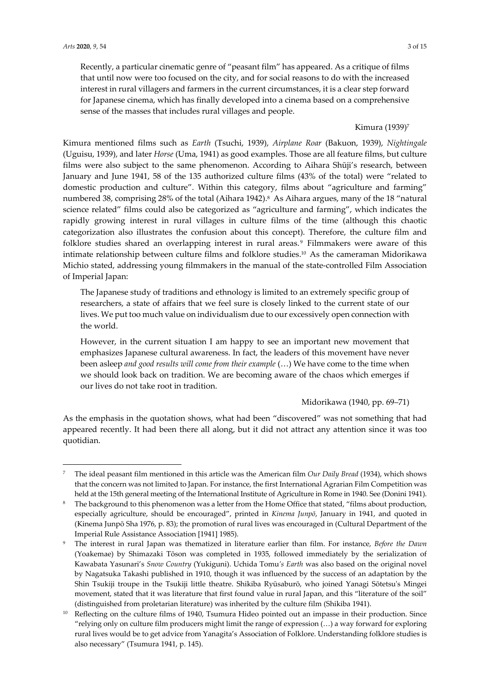Recently, a particular cinematic genre of "peasant film" has appeared. As a critique of films that until now were too focused on the city, and for social reasons to do with the increased interest in rural villagers and farmers in the current circumstances, it is a clear step forward for Japanese cinema, which has finally developed into a cinema based on a comprehensive sense of the masses that includes rural villages and people.

#### Kimura (1939)7

Kimura mentioned films such as *Earth* (Tsuchi, 1939), *Airplane Roar* (Bakuon, 1939), *Nightingale*  (Uguisu, 1939), and later *Horse* (Uma, 1941) as good examples. Those are all feature films, but culture films were also subject to the same phenomenon. According to Aihara Shūji's research, between January and June 1941, 58 of the 135 authorized culture films (43% of the total) were "related to domestic production and culture". Within this category, films about "agriculture and farming" numbered 38, comprising 28% of the total (Aihara 1942).8 As Aihara argues, many of the 18 "natural science related" films could also be categorized as "agriculture and farming", which indicates the rapidly growing interest in rural villages in culture films of the time (although this chaotic categorization also illustrates the confusion about this concept). Therefore, the culture film and folklore studies shared an overlapping interest in rural areas. 9 Filmmakers were aware of this intimate relationship between culture films and folklore studies.10 As the cameraman Midorikawa Michio stated, addressing young filmmakers in the manual of the state-controlled Film Association of Imperial Japan:

The Japanese study of traditions and ethnology is limited to an extremely specific group of researchers, a state of affairs that we feel sure is closely linked to the current state of our lives. We put too much value on individualism due to our excessively open connection with the world.

However, in the current situation I am happy to see an important new movement that emphasizes Japanese cultural awareness. In fact, the leaders of this movement have never been asleep *and good results will come from their example* (…) We have come to the time when we should look back on tradition. We are becoming aware of the chaos which emerges if our lives do not take root in tradition.

## Midorikawa (1940, pp. 69–71)

As the emphasis in the quotation shows, what had been "discovered" was not something that had appeared recently. It had been there all along, but it did not attract any attention since it was too quotidian.

<sup>7</sup> The ideal peasant film mentioned in this article was the American film *Our Daily Bread* (1934), which shows that the concern was not limited to Japan. For instance, the first International Agrarian Film Competition was held at the 15th general meeting of the International Institute of Agriculture in Rome in 1940. See (Donini 1941).

The background to this phenomenon was a letter from the Home Office that stated, "films about production, especially agriculture, should be encouraged", printed in *Kinema Junpō*, January in 1941, and quoted in (Kinema Junpō Sha 1976, p. 83); the promotion of rural lives was encouraged in (Cultural Department of the Imperial Rule Assistance Association [1941] 1985).

<sup>9</sup> The interest in rural Japan was thematized in literature earlier than film. For instance, *Before the Dawn*  (Yoakemae) by Shimazaki Tōson was completed in 1935, followed immediately by the serialization of Kawabata Yasunari's *Snow Country* (Yukiguni). Uchida Tomu*'s Earth* was also based on the original novel by Nagatsuka Takashi published in 1910, though it was influenced by the success of an adaptation by the Shin Tsukiji troupe in the Tsukiji little theatre. Shikiba Ryūsaburō, who joined Yanagi Sōtetsu's Mingei movement, stated that it was literature that first found value in rural Japan, and this "literature of the soil" (distinguished from proletarian literature) was inherited by the culture film (Shikiba 1941).

<sup>&</sup>lt;sup>10</sup> Reflecting on the culture films of 1940, Tsumura Hideo pointed out an impasse in their production. Since "relying only on culture film producers might limit the range of expression (…) a way forward for exploring rural lives would be to get advice from Yanagita's Association of Folklore. Understanding folklore studies is also necessary" (Tsumura 1941, p. 145).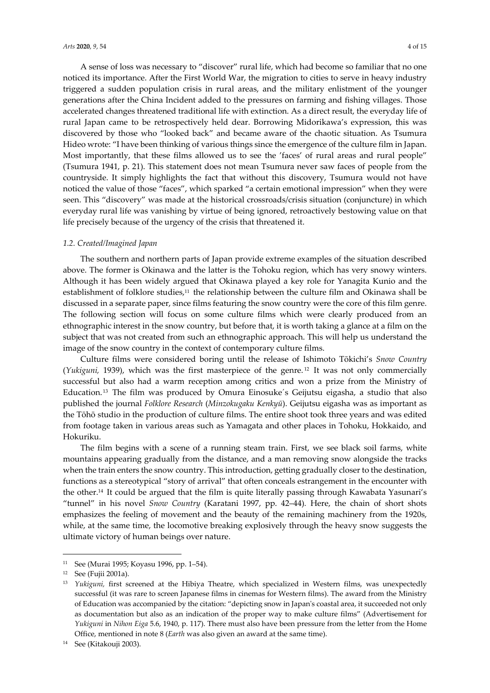A sense of loss was necessary to "discover" rural life, which had become so familiar that no one noticed its importance. After the First World War, the migration to cities to serve in heavy industry triggered a sudden population crisis in rural areas, and the military enlistment of the younger generations after the China Incident added to the pressures on farming and fishing villages. Those accelerated changes threatened traditional life with extinction. As a direct result, the everyday life of rural Japan came to be retrospectively held dear. Borrowing Midorikawa's expression, this was discovered by those who "looked back" and became aware of the chaotic situation. As Tsumura Hideo wrote: "I have been thinking of various things since the emergence of the culture film in Japan. Most importantly, that these films allowed us to see the 'faces' of rural areas and rural people" (Tsumura 1941, p. 21). This statement does not mean Tsumura never saw faces of people from the countryside. It simply highlights the fact that without this discovery, Tsumura would not have noticed the value of those "faces", which sparked "a certain emotional impression" when they were seen. This "discovery" was made at the historical crossroads/crisis situation (conjuncture) in which everyday rural life was vanishing by virtue of being ignored, retroactively bestowing value on that life precisely because of the urgency of the crisis that threatened it.

## *1.2. Created/Imagined Japan*

The southern and northern parts of Japan provide extreme examples of the situation described above. The former is Okinawa and the latter is the Tohoku region, which has very snowy winters. Although it has been widely argued that Okinawa played a key role for Yanagita Kunio and the establishment of folklore studies,<sup>11</sup> the relationship between the culture film and Okinawa shall be discussed in a separate paper, since films featuring the snow country were the core of this film genre. The following section will focus on some culture films which were clearly produced from an ethnographic interest in the snow country, but before that, it is worth taking a glance at a film on the subject that was not created from such an ethnographic approach. This will help us understand the image of the snow country in the context of contemporary culture films.

Culture films were considered boring until the release of Ishimoto Tōkichi's *Snow Country*  (*Yukiguni,* 1939), which was the first masterpiece of the genre. 12 It was not only commercially successful but also had a warm reception among critics and won a prize from the Ministry of Education. 13 The film was produced by Omura Einosuke´s Geijutsu eigasha, a studio that also published the journal *Folklore Research* (*Minzokugaku Kenkyū*). Geijutsu eigasha was as important as the Tōhō studio in the production of culture films. The entire shoot took three years and was edited from footage taken in various areas such as Yamagata and other places in Tohoku, Hokkaido, and Hokuriku.

The film begins with a scene of a running steam train. First, we see black soil farms, white mountains appearing gradually from the distance, and a man removing snow alongside the tracks when the train enters the snow country. This introduction, getting gradually closer to the destination, functions as a stereotypical "story of arrival" that often conceals estrangement in the encounter with the other.14 It could be argued that the film is quite literally passing through Kawabata Yasunari's "tunnel" in his novel *Snow Country* (Karatani 1997, pp. 42–44)*.* Here, the chain of short shots emphasizes the feeling of movement and the beauty of the remaining machinery from the 1920s, while, at the same time, the locomotive breaking explosively through the heavy snow suggests the ultimate victory of human beings over nature.

<sup>11</sup> See (Murai 1995; Koyasu 1996, pp. 1–54).

<sup>12</sup> See (Fujii 2001a).

<sup>&</sup>lt;sup>13</sup> *Yukiguni*, first screened at the Hibiya Theatre, which specialized in Western films, was unexpectedly successful (it was rare to screen Japanese films in cinemas for Western films). The award from the Ministry of Education was accompanied by the citation: "depicting snow in Japan's coastal area, it succeeded not only as documentation but also as an indication of the proper way to make culture films" (Advertisement for *Yukiguni* in *Nihon Eiga* 5.6, 1940, p. 117). There must also have been pressure from the letter from the Home Office, mentioned in note 8 (*Earth* was also given an award at the same time).

<sup>14</sup> See (Kitakouji 2003).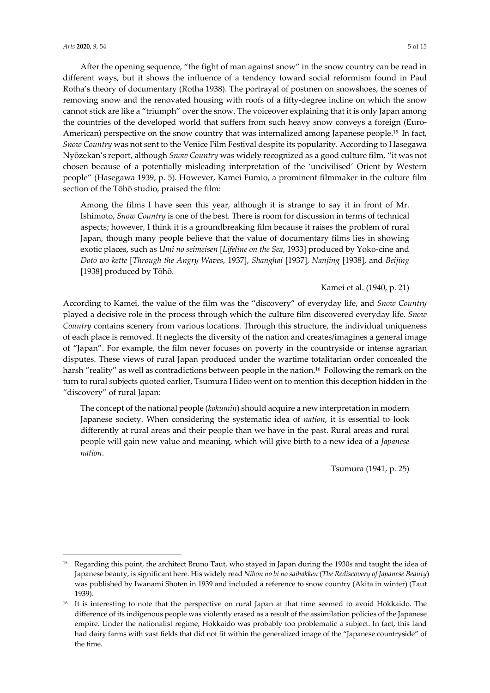After the opening sequence, "the fight of man against snow" in the snow country can be read in different ways, but it shows the influence of a tendency toward social reformism found in Paul Rotha's theory of documentary (Rotha 1938). The portrayal of postmen on snowshoes, the scenes of removing snow and the renovated housing with roofs of a fifty-degree incline on which the snow cannot stick are like a "triumph" over the snow. The voiceover explaining that it is only Japan among the countries of the developed world that suffers from such heavy snow conveys a foreign (Euro-American) perspective on the snow country that was internalized among Japanese people.<sup>15</sup> In fact, *Snow Country* was not sent to the Venice Film Festival despite its popularity. According to Hasegawa Nyōzekan's report, although *Snow Country* was widely recognized as a good culture film, "it was not chosen because of a potentially misleading interpretation of the 'uncivilised' Orient by Western people" (Hasegawa 1939, p. 5). However, Kamei Fumio, a prominent filmmaker in the culture film section of the Tōhō studio, praised the film:

Among the films I have seen this year, although it is strange to say it in front of Mr. Ishimoto, *Snow Country* is one of the best. There is room for discussion in terms of technical aspects; however, I think it is a groundbreaking film because it raises the problem of rural Japan, though many people believe that the value of documentary films lies in showing exotic places, such as *Umi no seimeisen* [*Lifeline on the Sea*, 1933] produced by Yoko-cine and *Dotō wo kette* [*Through the Angry Waves*, 1937], *Shanghai* [1937], *Nanjing* [1938], and *Beijing*  [1938] produced by Tōhō.

Kamei et al. (1940, p. 21)

According to Kamei, the value of the film was the "discovery" of everyday life, and *Snow Country*  played a decisive role in the process through which the culture film discovered everyday life. *Snow Country* contains scenery from various locations. Through this structure, the individual uniqueness of each place is removed. It neglects the diversity of the nation and creates/imagines a general image of "Japan". For example, the film never focuses on poverty in the countryside or intense agrarian disputes. These views of rural Japan produced under the wartime totalitarian order concealed the harsh "reality" as well as contradictions between people in the nation.<sup>16</sup> Following the remark on the turn to rural subjects quoted earlier, Tsumura Hideo went on to mention this deception hidden in the "discovery" of rural Japan:

The concept of the national people (*kokumin*) should acquire a new interpretation in modern Japanese society. When considering the systematic idea of *nation*, it is essential to look differently at rural areas and their people than we have in the past. Rural areas and rural people will gain new value and meaning, which will give birth to a new idea of a *Japanese nation*.

Tsumura (1941, p. 25)

<sup>&</sup>lt;sup>15</sup> Regarding this point, the architect Bruno Taut, who stayed in Japan during the 1930s and taught the idea of Japanese beauty, is significant here. His widely read *Nihon no bi no saihakken* (*The Rediscovery of Japanese Beauty*) was published by Iwanami Shoten in 1939 and included a reference to snow country (Akita in winter) (Taut 1939).

<sup>&</sup>lt;sup>16</sup> It is interesting to note that the perspective on rural Japan at that time seemed to avoid Hokkaido. The difference of its indigenous people was violently erased as a result of the assimilation policies of the Japanese empire. Under the nationalist regime, Hokkaido was probably too problematic a subject. In fact, this land had dairy farms with vast fields that did not fit within the generalized image of the "Japanese countryside" of the time.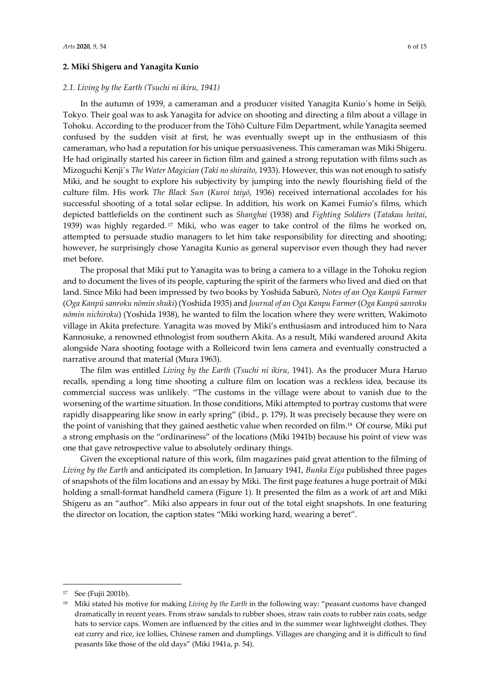#### **2. Miki Shigeru and Yanagita Kunio**

#### *2.1. Living by the Earth (Tsuchi ni ikiru, 1941)*

In the autumn of 1939, a cameraman and a producer visited Yanagita Kunio´s home in Seijō, Tokyo. Their goal was to ask Yanagita for advice on shooting and directing a film about a village in Tohoku. According to the producer from the Tōhō Culture Film Department, while Yanagita seemed confused by the sudden visit at first, he was eventually swept up in the enthusiasm of this cameraman, who had a reputation for his unique persuasiveness. This cameraman was Miki Shigeru. He had originally started his career in fiction film and gained a strong reputation with films such as Mizoguchi Kenji´s *The Water Magician* (*Taki no shiraito*, 1933). However, this was not enough to satisfy Miki, and he sought to explore his subjectivity by jumping into the newly flourishing field of the culture film. His work *The Black Sun* (*Kuroi taiyō*, 1936) received international accolades for his successful shooting of a total solar eclipse. In addition, his work on Kamei Fumio's films, which depicted battlefields on the continent such as *Shanghai* (1938) and *Fighting Soldiers* (*Tatakau heitai*, 1939) was highly regarded.<sup>17</sup> Miki, who was eager to take control of the films he worked on, attempted to persuade studio managers to let him take responsibility for directing and shooting; however, he surprisingly chose Yanagita Kunio as general supervisor even though they had never met before.

The proposal that Miki put to Yanagita was to bring a camera to a village in the Tohoku region and to document the lives of its people, capturing the spirit of the farmers who lived and died on that land. Since Miki had been impressed by two books by Yoshida Saburō, *Notes of an Oga Kanpū Farmer*  (*Oga Kanpū sanroku nōmin shuki*) (Yoshida 1935) and *Journal of an Oga Kanpu Farmer* (*Oga Kanpū sanroku nōmin nichiroku*) (Yoshida 1938), he wanted to film the location where they were written, Wakimoto village in Akita prefecture. Yanagita was moved by Miki's enthusiasm and introduced him to Nara Kannosuke, a renowned ethnologist from southern Akita. As a result, Miki wandered around Akita alongside Nara shooting footage with a Rolleicord twin lens camera and eventually constructed a narrative around that material (Mura 1963).

The film was entitled *Living by the Earth* (*Tsuchi ni ikiru*, 1941). As the producer Mura Haruo recalls, spending a long time shooting a culture film on location was a reckless idea, because its commercial success was unlikely. "The customs in the village were about to vanish due to the worsening of the wartime situation. In those conditions, Miki attempted to portray customs that were rapidly disappearing like snow in early spring" (ibid., p. 179). It was precisely because they were on the point of vanishing that they gained aesthetic value when recorded on film.18 Of course, Miki put a strong emphasis on the "ordinariness" of the locations (Miki 1941b) because his point of view was one that gave retrospective value to absolutely ordinary things.

Given the exceptional nature of this work, film magazines paid great attention to the filming of *Living by the Earth* and anticipated its completion. In January 1941, *Bunka Eiga* published three pages of snapshots of the film locations and an essay by Miki. The first page features a huge portrait of Miki holding a small-format handheld camera (Figure 1). It presented the film as a work of art and Miki Shigeru as an "author". Miki also appears in four out of the total eight snapshots. In one featuring the director on location, the caption states "Miki working hard, wearing a beret".

<sup>17</sup> See (Fujii 2001b).

<sup>18</sup> Miki stated his motive for making *Living by the Earth* in the following way: "peasant customs have changed dramatically in recent years. From straw sandals to rubber shoes, straw rain coats to rubber rain coats, sedge hats to service caps. Women are influenced by the cities and in the summer wear lightweight clothes. They eat curry and rice, ice lollies, Chinese ramen and dumplings. Villages are changing and it is difficult to find peasants like those of the old days" (Miki 1941a, p. 54).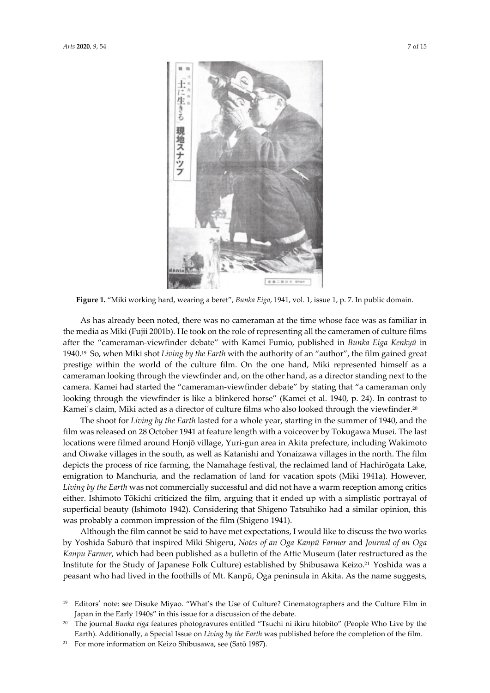

**Figure 1.** "Miki working hard, wearing a beret", *Bunka Eiga*, 1941, vol. 1, issue 1, p. 7. In public domain.

As has already been noted, there was no cameraman at the time whose face was as familiar in the media as Miki (Fujii 2001b). He took on the role of representing all the cameramen of culture films after the "cameraman-viewfinder debate" with Kamei Fumio, published in *Bunka Eiga Kenkyū* in 1940.19 So, when Miki shot *Living by the Earth* with the authority of an "author", the film gained great prestige within the world of the culture film. On the one hand, Miki represented himself as a cameraman looking through the viewfinder and, on the other hand, as a director standing next to the camera. Kamei had started the "cameraman-viewfinder debate" by stating that "a cameraman only looking through the viewfinder is like a blinkered horse" (Kamei et al. 1940, p. 24). In contrast to Kamei's claim, Miki acted as a director of culture films who also looked through the viewfinder.<sup>20</sup>

The shoot for *Living by the Earth* lasted for a whole year, starting in the summer of 1940, and the film was released on 28 October 1941 at feature length with a voiceover by Tokugawa Musei. The last locations were filmed around Honjō village, Yuri-gun area in Akita prefecture, including Wakimoto and Oiwake villages in the south, as well as Katanishi and Yonaizawa villages in the north. The film depicts the process of rice farming, the Namahage festival, the reclaimed land of Hachirōgata Lake, emigration to Manchuria, and the reclamation of land for vacation spots (Miki 1941a). However, *Living by the Earth* was not commercially successful and did not have a warm reception among critics either. Ishimoto Tōkichi criticized the film, arguing that it ended up with a simplistic portrayal of superficial beauty (Ishimoto 1942). Considering that Shigeno Tatsuhiko had a similar opinion, this was probably a common impression of the film (Shigeno 1941).

Although the film cannot be said to have met expectations, I would like to discuss the two works by Yoshida Saburō that inspired Miki Shigeru, *Notes of an Oga Kanpū Farmer* and *Journal of an Oga Kanpu Farmer*, which had been published as a bulletin of the Attic Museum (later restructured as the Institute for the Study of Japanese Folk Culture) established by Shibusawa Keizo.21 Yoshida was a peasant who had lived in the foothills of Mt. Kanpū, Oga peninsula in Akita. As the name suggests,

<sup>19</sup> Editors' note: see Disuke Miyao. "What's the Use of Culture? Cinematographers and the Culture Film in Japan in the Early 1940s" in this issue for a discussion of the debate.

<sup>&</sup>lt;sup>20</sup> The journal *Bunka eiga* features photogravures entitled "Tsuchi ni ikiru hitobito" (People Who Live by the Earth). Additionally, a Special Issue on *Living by the Earth* was published before the completion of the film.

<sup>21</sup> For more information on Keizo Shibusawa, see (Satō 1987).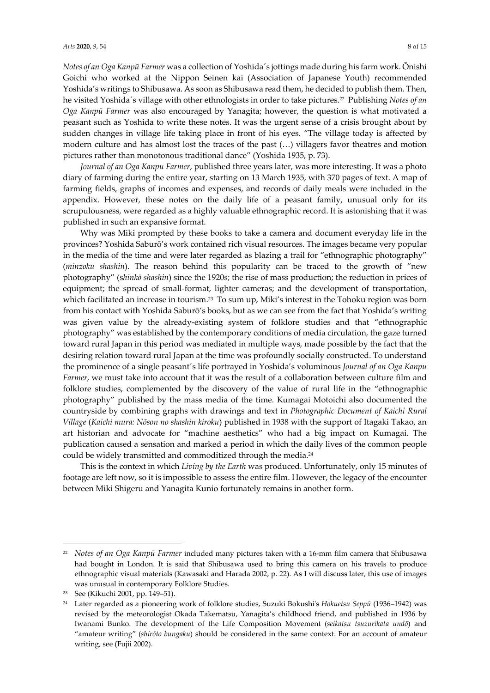*Notes of an Oga Kanpū Farmer* was a collection of Yoshida´s jottings made during his farm work. Ōnishi Goichi who worked at the Nippon Seinen kai (Association of Japanese Youth) recommended Yoshida's writings to Shibusawa. As soon as Shibusawa read them, he decided to publish them. Then, he visited Yoshida´s village with other ethnologists in order to take pictures.22 Publishing *Notes of an Oga Kanpū Farmer* was also encouraged by Yanagita; however, the question is what motivated a peasant such as Yoshida to write these notes. It was the urgent sense of a crisis brought about by sudden changes in village life taking place in front of his eyes. "The village today is affected by modern culture and has almost lost the traces of the past (…) villagers favor theatres and motion pictures rather than monotonous traditional dance" (Yoshida 1935, p. 73).

*Journal of an Oga Kanpu Farmer*, published three years later, was more interesting. It was a photo diary of farming during the entire year, starting on 13 March 1935, with 370 pages of text. A map of farming fields, graphs of incomes and expenses, and records of daily meals were included in the appendix. However, these notes on the daily life of a peasant family, unusual only for its scrupulousness, were regarded as a highly valuable ethnographic record. It is astonishing that it was published in such an expansive format.

Why was Miki prompted by these books to take a camera and document everyday life in the provinces? Yoshida Saburō's work contained rich visual resources. The images became very popular in the media of the time and were later regarded as blazing a trail for "ethnographic photography" (*minzoku shashin*). The reason behind this popularity can be traced to the growth of "new photography" (s*hinkō shashin*) since the 1920s; the rise of mass production; the reduction in prices of equipment; the spread of small-format, lighter cameras; and the development of transportation, which facilitated an increase in tourism.<sup>23</sup> To sum up, Miki's interest in the Tohoku region was born from his contact with Yoshida Saburō's books, but as we can see from the fact that Yoshida's writing was given value by the already-existing system of folklore studies and that "ethnographic photography" was established by the contemporary conditions of media circulation, the gaze turned toward rural Japan in this period was mediated in multiple ways, made possible by the fact that the desiring relation toward rural Japan at the time was profoundly socially constructed. To understand the prominence of a single peasant´s life portrayed in Yoshida's voluminous *Journal of an Oga Kanpu Farmer*, we must take into account that it was the result of a collaboration between culture film and folklore studies, complemented by the discovery of the value of rural life in the "ethnographic photography" published by the mass media of the time. Kumagai Motoichi also documented the countryside by combining graphs with drawings and text in *Photographic Document of Kaichi Rural Village* (*Kaichi mura: Nōson no shashin kiroku*) published in 1938 with the support of Itagaki Takao, an art historian and advocate for "machine aesthetics" who had a big impact on Kumagai. The publication caused a sensation and marked a period in which the daily lives of the common people could be widely transmitted and commoditized through the media.24

This is the context in which *Living by the Earth* was produced. Unfortunately, only 15 minutes of footage are left now, so it is impossible to assess the entire film. However, the legacy of the encounter between Miki Shigeru and Yanagita Kunio fortunately remains in another form.

<sup>22</sup> *Notes of an Oga Kanpū Farmer* included many pictures taken with a 16-mm film camera that Shibusawa had bought in London. It is said that Shibusawa used to bring this camera on his travels to produce ethnographic visual materials (Kawasaki and Harada 2002, p. 22). As I will discuss later, this use of images was unusual in contemporary Folklore Studies.

<sup>23</sup> See (Kikuchi 2001, pp. 149–51).

<sup>24</sup> Later regarded as a pioneering work of folklore studies, Suzuki Bokushi's *Hokuetsu Seppū* (1936–1942) was revised by the meteorologist Okada Takematsu, Yanagita's childhood friend, and published in 1936 by Iwanami Bunko. The development of the Life Composition Movement (*seikatsu tsuzurikata undō*) and "amateur writing" (*shirōto bungaku*) should be considered in the same context. For an account of amateur writing, see (Fujii 2002).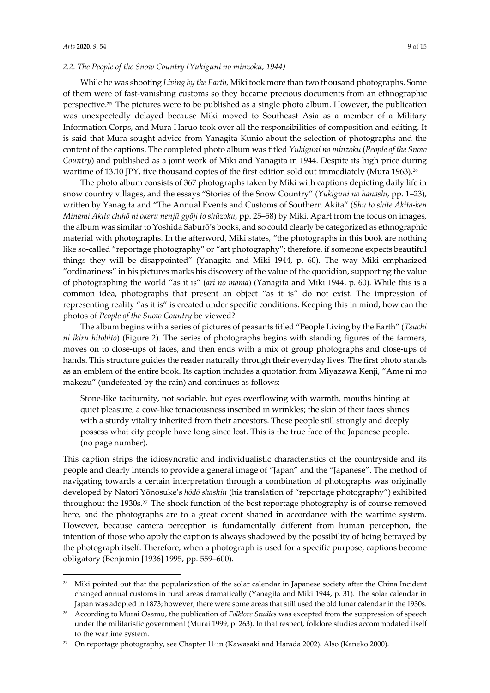#### *2.2. The People of the Snow Country (Yukiguni no minzoku, 1944)*

While he was shooting *Living by the Earth*, Miki took more than two thousand photographs. Some of them were of fast-vanishing customs so they became precious documents from an ethnographic perspective.25 The pictures were to be published as a single photo album. However, the publication was unexpectedly delayed because Miki moved to Southeast Asia as a member of a Military Information Corps, and Mura Haruo took over all the responsibilities of composition and editing. It is said that Mura sought advice from Yanagita Kunio about the selection of photographs and the content of the captions. The completed photo album was titled *Yukiguni no minzoku* (*People of the Snow Country*) and published as a joint work of Miki and Yanagita in 1944. Despite its high price during wartime of 13.10 JPY, five thousand copies of the first edition sold out immediately (Mura 1963).<sup>26</sup>

The photo album consists of 367 photographs taken by Miki with captions depicting daily life in snow country villages, and the essays "Stories of the Snow Country" (*Yukiguni no hanashi*, pp. 1–23), written by Yanagita and "The Annual Events and Customs of Southern Akita" (*Shu to shite Akita-ken Minami Akita chihō ni okeru nenjū gyōji to shūzoku*, pp. 25–58) by Miki. Apart from the focus on images, the album was similar to Yoshida Saburō's books, and so could clearly be categorized as ethnographic material with photographs. In the afterword, Miki states, "the photographs in this book are nothing like so-called "reportage photography" or "art photography"; therefore, if someone expects beautiful things they will be disappointed" (Yanagita and Miki 1944, p. 60). The way Miki emphasized "ordinariness" in his pictures marks his discovery of the value of the quotidian, supporting the value of photographing the world "as it is" (*ari no mama*) (Yanagita and Miki 1944, p. 60). While this is a common idea, photographs that present an object "as it is" do not exist. The impression of representing reality "as it is" is created under specific conditions. Keeping this in mind, how can the photos of *People of the Snow Country* be viewed?

The album begins with a series of pictures of peasants titled "People Living by the Earth" (*Tsuchi ni ikiru hitobito*) (Figure 2). The series of photographs begins with standing figures of the farmers, moves on to close-ups of faces, and then ends with a mix of group photographs and close-ups of hands. This structure guides the reader naturally through their everyday lives. The first photo stands as an emblem of the entire book. Its caption includes a quotation from Miyazawa Kenji, "Ame ni mo makezu" (undefeated by the rain) and continues as follows:

Stone-like taciturnity, not sociable, but eyes overflowing with warmth, mouths hinting at quiet pleasure, a cow-like tenaciousness inscribed in wrinkles; the skin of their faces shines with a sturdy vitality inherited from their ancestors. These people still strongly and deeply possess what city people have long since lost. This is the true face of the Japanese people. (no page number).

This caption strips the idiosyncratic and individualistic characteristics of the countryside and its people and clearly intends to provide a general image of "Japan" and the "Japanese". The method of navigating towards a certain interpretation through a combination of photographs was originally developed by Natori Yōnosuke's *hōdō shashin* (his translation of "reportage photography") exhibited throughout the 1930s.27 The shock function of the best reportage photography is of course removed here, and the photographs are to a great extent shaped in accordance with the wartime system. However, because camera perception is fundamentally different from human perception, the intention of those who apply the caption is always shadowed by the possibility of being betrayed by the photograph itself. Therefore, when a photograph is used for a specific purpose, captions become obligatory (Benjamin [1936] 1995, pp. 559–600).

<sup>&</sup>lt;sup>25</sup> Miki pointed out that the popularization of the solar calendar in Japanese society after the China Incident changed annual customs in rural areas dramatically (Yanagita and Miki 1944, p. 31). The solar calendar in Japan was adopted in 1873; however, there were some areas that still used the old lunar calendar in the 1930s.

<sup>26</sup> According to Murai Osamu, the publication of *Folklore Studies* was excepted from the suppression of speech under the militaristic government (Murai 1999, p. 263). In that respect, folklore studies accommodated itself to the wartime system.

<sup>&</sup>lt;sup>27</sup> On reportage photography, see Chapter 11<sup>,</sup> in (Kawasaki and Harada 2002). Also (Kaneko 2000).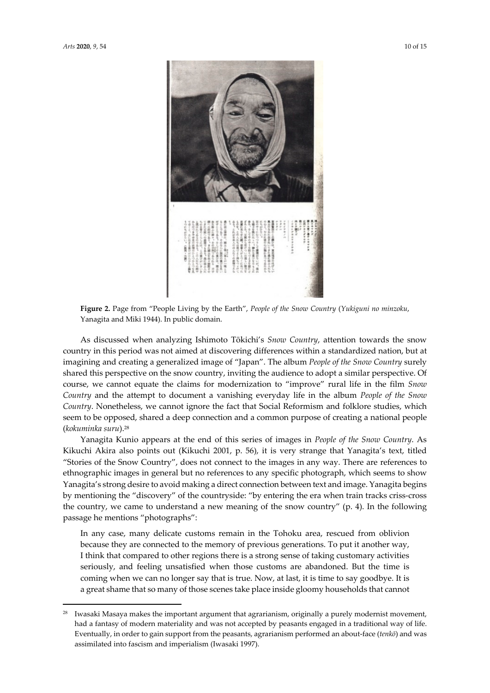

**Figure 2.** Page from "People Living by the Earth", *People of the Snow Country* (*Yukiguni no minzoku*, Yanagita and Miki 1944). In public domain.

As discussed when analyzing Ishimoto Tōkichi's *Snow Country*, attention towards the snow country in this period was not aimed at discovering differences within a standardized nation, but at imagining and creating a generalized image of "Japan". The album *People of the Snow Country* surely shared this perspective on the snow country, inviting the audience to adopt a similar perspective. Of course, we cannot equate the claims for modernization to "improve" rural life in the film *Snow Country* and the attempt to document a vanishing everyday life in the album *People of the Snow Country*. Nonetheless, we cannot ignore the fact that Social Reformism and folklore studies, which seem to be opposed, shared a deep connection and a common purpose of creating a national people (*kokuminka suru*).28

Yanagita Kunio appears at the end of this series of images in *People of the Snow Country*. As Kikuchi Akira also points out (Kikuchi 2001, p. 56), it is very strange that Yanagita's text, titled "Stories of the Snow Country", does not connect to the images in any way. There are references to ethnographic images in general but no references to any specific photograph, which seems to show Yanagita's strong desire to avoid making a direct connection between text and image. Yanagita begins by mentioning the "discovery" of the countryside: "by entering the era when train tracks criss-cross the country, we came to understand a new meaning of the snow country" (p. 4). In the following passage he mentions "photographs":

In any case, many delicate customs remain in the Tohoku area, rescued from oblivion because they are connected to the memory of previous generations. To put it another way, I think that compared to other regions there is a strong sense of taking customary activities seriously, and feeling unsatisfied when those customs are abandoned. But the time is coming when we can no longer say that is true. Now, at last, it is time to say goodbye. It is a great shame that so many of those scenes take place inside gloomy households that cannot

<sup>&</sup>lt;sup>28</sup> Iwasaki Masaya makes the important argument that agrarianism, originally a purely modernist movement, had a fantasy of modern materiality and was not accepted by peasants engaged in a traditional way of life. Eventually, in order to gain support from the peasants, agrarianism performed an about-face (*tenkō*) and was assimilated into fascism and imperialism (Iwasaki 1997).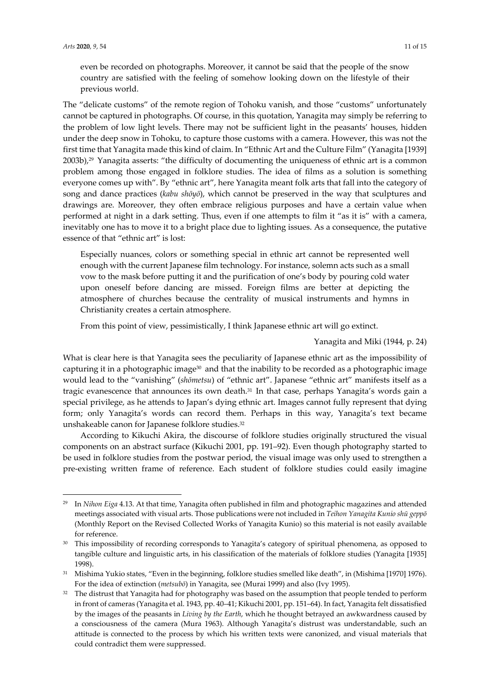even be recorded on photographs. Moreover, it cannot be said that the people of the snow country are satisfied with the feeling of somehow looking down on the lifestyle of their previous world.

The "delicate customs" of the remote region of Tohoku vanish, and those "customs" unfortunately cannot be captured in photographs. Of course, in this quotation, Yanagita may simply be referring to the problem of low light levels. There may not be sufficient light in the peasants' houses, hidden under the deep snow in Tohoku, to capture those customs with a camera. However, this was not the first time that Yanagita made this kind of claim. In "Ethnic Art and the Culture Film" (Yanagita [1939] 2003b),29 Yanagita asserts: "the difficulty of documenting the uniqueness of ethnic art is a common problem among those engaged in folklore studies. The idea of films as a solution is something everyone comes up with". By "ethnic art", here Yanagita meant folk arts that fall into the category of song and dance practices (*kabu shōyō*), which cannot be preserved in the way that sculptures and drawings are. Moreover, they often embrace religious purposes and have a certain value when performed at night in a dark setting. Thus, even if one attempts to film it "as it is" with a camera, inevitably one has to move it to a bright place due to lighting issues. As a consequence, the putative essence of that "ethnic art" is lost:

Especially nuances, colors or something special in ethnic art cannot be represented well enough with the current Japanese film technology. For instance, solemn acts such as a small vow to the mask before putting it and the purification of one's body by pouring cold water upon oneself before dancing are missed. Foreign films are better at depicting the atmosphere of churches because the centrality of musical instruments and hymns in Christianity creates a certain atmosphere.

From this point of view, pessimistically, I think Japanese ethnic art will go extinct.

#### Yanagita and Miki (1944, p. 24)

What is clear here is that Yanagita sees the peculiarity of Japanese ethnic art as the impossibility of capturing it in a photographic image<sup>30</sup> and that the inability to be recorded as a photographic image would lead to the "vanishing" (*shōmetsu*) of "ethnic art". Japanese "ethnic art" manifests itself as a tragic evanescence that announces its own death.<sup>31</sup> In that case, perhaps Yanagita's words gain a special privilege, as he attends to Japan's dying ethnic art. Images cannot fully represent that dying form; only Yanagita's words can record them. Perhaps in this way, Yanagita's text became unshakeable canon for Japanese folklore studies.32

According to Kikuchi Akira, the discourse of folklore studies originally structured the visual components on an abstract surface (Kikuchi 2001, pp. 191–92). Even though photography started to be used in folklore studies from the postwar period, the visual image was only used to strengthen a pre-existing written frame of reference. Each student of folklore studies could easily imagine

<sup>29</sup> In *Nihon Eiga* 4.13. At that time, Yanagita often published in film and photographic magazines and attended meetings associated with visual arts. Those publications were not included in *Teihon Yanagita Kunio shū geppō* (Monthly Report on the Revised Collected Works of Yanagita Kunio) so this material is not easily available for reference.

<sup>&</sup>lt;sup>30</sup> This impossibility of recording corresponds to Yanagita's category of spiritual phenomena, as opposed to tangible culture and linguistic arts, in his classification of the materials of folklore studies (Yanagita [1935] 1998).

<sup>31</sup> Mishima Yukio states, "Even in the beginning, folklore studies smelled like death", in (Mishima [1970] 1976). For the idea of extinction (*metsubō*) in Yanagita, see (Murai 1999) and also (Ivy 1995).

<sup>&</sup>lt;sup>32</sup> The distrust that Yanagita had for photography was based on the assumption that people tended to perform in front of cameras (Yanagita et al. 1943, pp. 40–41; Kikuchi 2001, pp. 151–64). In fact, Yanagita felt dissatisfied by the images of the peasants in *Living by the Earth*, which he thought betrayed an awkwardness caused by a consciousness of the camera (Mura 1963). Although Yanagita's distrust was understandable, such an attitude is connected to the process by which his written texts were canonized, and visual materials that could contradict them were suppressed.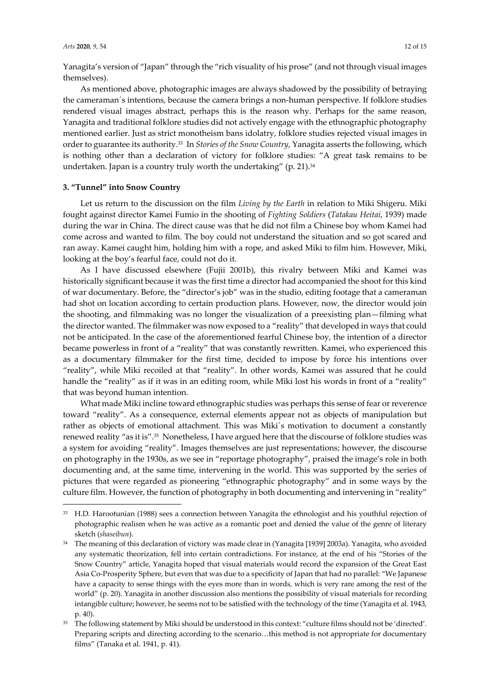Yanagita's version of "Japan" through the "rich visuality of his prose" (and not through visual images themselves).

As mentioned above, photographic images are always shadowed by the possibility of betraying the cameraman´s intentions, because the camera brings a non-human perspective. If folklore studies rendered visual images abstract, perhaps this is the reason why. Perhaps for the same reason, Yanagita and traditional folklore studies did not actively engage with the ethnographic photography mentioned earlier. Just as strict monotheism bans idolatry, folklore studies rejected visual images in order to guarantee its authority.33 In *Stories of the Snow Country*, Yanagita asserts the following, which is nothing other than a declaration of victory for folklore studies: "A great task remains to be undertaken. Japan is a country truly worth the undertaking"  $(p. 21).$ <sup>34</sup>

### **3. "Tunnel" into Snow Country**

Let us return to the discussion on the film *Living by the Earth* in relation to Miki Shigeru. Miki fought against director Kamei Fumio in the shooting of *Fighting Soldiers* (*Tatakau Heitai*, 1939) made during the war in China. The direct cause was that he did not film a Chinese boy whom Kamei had come across and wanted to film. The boy could not understand the situation and so got scared and ran away. Kamei caught him, holding him with a rope, and asked Miki to film him. However, Miki, looking at the boy's fearful face, could not do it.

As I have discussed elsewhere (Fujii 2001b), this rivalry between Miki and Kamei was historically significant because it was the first time a director had accompanied the shoot for this kind of war documentary. Before, the "director's job" was in the studio, editing footage that a cameraman had shot on location according to certain production plans. However, now, the director would join the shooting, and filmmaking was no longer the visualization of a preexisting plan—filming what the director wanted. The filmmaker was now exposed to a "reality" that developed in ways that could not be anticipated. In the case of the aforementioned fearful Chinese boy, the intention of a director became powerless in front of a "reality" that was constantly rewritten. Kamei, who experienced this as a documentary filmmaker for the first time, decided to impose by force his intentions over "reality", while Miki recoiled at that "reality". In other words, Kamei was assured that he could handle the "reality" as if it was in an editing room, while Miki lost his words in front of a "reality" that was beyond human intention.

What made Miki incline toward ethnographic studies was perhaps this sense of fear or reverence toward "reality". As a consequence, external elements appear not as objects of manipulation but rather as objects of emotional attachment. This was Miki´s motivation to document a constantly renewed reality "as it is".35 Nonetheless, I have argued here that the discourse of folklore studies was a system for avoiding "reality". Images themselves are just representations; however, the discourse on photography in the 1930s, as we see in "reportage photography", praised the image's role in both documenting and, at the same time, intervening in the world. This was supported by the series of pictures that were regarded as pioneering "ethnographic photography" and in some ways by the culture film. However, the function of photography in both documenting and intervening in "reality"

<sup>33</sup> H.D. Harootunian (1988) sees a connection between Yanagita the ethnologist and his youthful rejection of photographic realism when he was active as a romantic poet and denied the value of the genre of literary sketch (*shaseibun*).

<sup>34</sup> The meaning of this declaration of victory was made clear in (Yanagita [1939] 2003a). Yanagita, who avoided any systematic theorization, fell into certain contradictions. For instance, at the end of his "Stories of the Snow Country" article, Yanagita hoped that visual materials would record the expansion of the Great East Asia Co-Prosperity Sphere, but even that was due to a specificity of Japan that had no parallel: "We Japanese have a capacity to sense things with the eyes more than in words, which is very rare among the rest of the world" (p. 20). Yanagita in another discussion also mentions the possibility of visual materials for recording intangible culture; however, he seems not to be satisfied with the technology of the time (Yanagita et al. 1943, p. 40).

<sup>35</sup> The following statement by Miki should be understood in this context: "culture films should not be 'directed'. Preparing scripts and directing according to the scenario…this method is not appropriate for documentary films" (Tanaka et al. 1941, p. 41).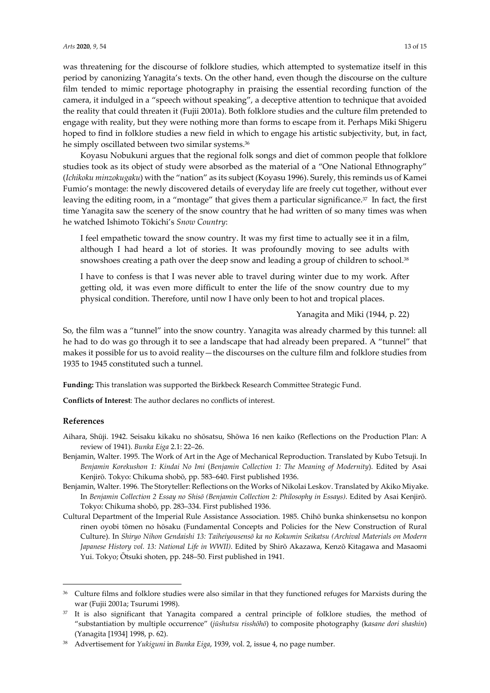was threatening for the discourse of folklore studies, which attempted to systematize itself in this period by canonizing Yanagita's texts. On the other hand, even though the discourse on the culture film tended to mimic reportage photography in praising the essential recording function of the camera, it indulged in a "speech without speaking", a deceptive attention to technique that avoided the reality that could threaten it (Fujii 2001a). Both folklore studies and the culture film pretended to engage with reality, but they were nothing more than forms to escape from it. Perhaps Miki Shigeru hoped to find in folklore studies a new field in which to engage his artistic subjectivity, but, in fact, he simply oscillated between two similar systems.<sup>36</sup>

Koyasu Nobukuni argues that the regional folk songs and diet of common people that folklore studies took as its object of study were absorbed as the material of a "One National Ethnography" (*Ichikoku minzokugaku*) with the "nation" as its subject (Koyasu 1996). Surely, this reminds us of Kamei Fumio's montage: the newly discovered details of everyday life are freely cut together, without ever leaving the editing room, in a "montage" that gives them a particular significance.<sup>37</sup> In fact, the first time Yanagita saw the scenery of the snow country that he had written of so many times was when he watched Ishimoto Tōkichi's *Snow Country*:

I feel empathetic toward the snow country. It was my first time to actually see it in a film, although I had heard a lot of stories. It was profoundly moving to see adults with snowshoes creating a path over the deep snow and leading a group of children to school.<sup>38</sup>

I have to confess is that I was never able to travel during winter due to my work. After getting old, it was even more difficult to enter the life of the snow country due to my physical condition. Therefore, until now I have only been to hot and tropical places.

Yanagita and Miki (1944, p. 22)

So, the film was a "tunnel" into the snow country. Yanagita was already charmed by this tunnel: all he had to do was go through it to see a landscape that had already been prepared. A "tunnel" that makes it possible for us to avoid reality—the discourses on the culture film and folklore studies from 1935 to 1945 constituted such a tunnel.

**Funding:** This translation was supported the Birkbeck Research Committee Strategic Fund.

**Conflicts of Interest**: The author declares no conflicts of interest.

## **References**

-

Aihara, Shūji. 1942. Seisaku kikaku no shōsatsu, Shōwa 16 nen kaiko (Reflections on the Production Plan: A review of 1941). *Bunka Eiga* 2.1: 22–26.

- Benjamin, Walter. 1995. The Work of Art in the Age of Mechanical Reproduction. Translated by Kubo Tetsuji. In *Benjamin Korekushon 1: Kindai No Imi* (*Benjamin Collection 1: The Meaning of Modernity*). Edited by Asai Kenjirō. Tokyo: Chikuma shobō, pp. 583–640. First published 1936.
- Benjamin, Walter. 1996*.* The Storyteller: Reflections on the Works of Nikolai Leskov. Translated by Akiko Miyake. In *Benjamin Collection 2 Essay no Shisō (Benjamin Collection 2: Philosophy in Essays)*. Edited by Asai Kenjirō. Tokyo: Chikuma shobō, pp. 283–334. First published 1936.
- Cultural Department of the Imperial Rule Assistance Association. 1985. Chihō bunka shinkensetsu no konpon rinen oyobi tōmen no hōsaku (Fundamental Concepts and Policies for the New Construction of Rural Culture). In *Shiryo Nihon Gendaishi 13: Taiheiyousensō ka no Kokumin Seikatsu (Archival Materials on Modern Japanese History vol. 13: National Life in WWII)*. Edited by Shirō Akazawa, Kenzō Kitagawa and Masaomi Yui. Tokyo; Ōtsuki shoten, pp. 248–50. First published in 1941.

<sup>&</sup>lt;sup>36</sup> Culture films and folklore studies were also similar in that they functioned refuges for Marxists during the war (Fujii 2001a; Tsurumi 1998).

<sup>&</sup>lt;sup>37</sup> It is also significant that Yanagita compared a central principle of folklore studies, the method of "substantiation by multiple occurrence" (*jūshutsu risshōhō*) to composite photography (k*asane dori shashin*) (Yanagita [1934] 1998, p. 62).

<sup>38</sup> Advertisement for *Yukiguni* in *Bunka Eiga*, 1939, vol. 2, issue 4, no page number.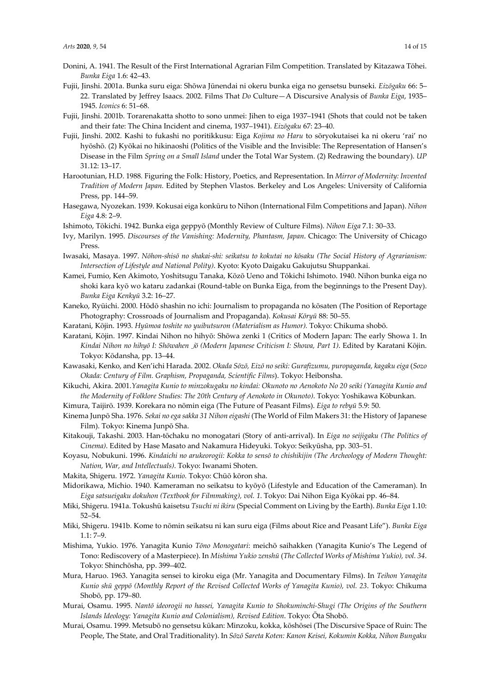- Donini, A. 1941. The Result of the First International Agrarian Film Competition. Translated by Kitazawa Tōhei. *Bunka Eiga* 1.6: 42–43.
- Fujii, Jinshi. 2001a. Bunka suru eiga: Shōwa Jūnendai ni okeru bunka eiga no gensetsu bunseki. *Eizōgaku* 66: 5– 22. Translated by Jeffrey Isaacs. 2002. Films That *Do* Culture—A Discursive Analysis of *Bunka Eiga*, 1935– 1945. *Iconics* 6: 51–68.
- Fujii, Jinshi. 2001b. Torarenakatta shotto to sono unmei: Jihen to eiga 1937–1941 (Shots that could not be taken and their fate: The China Incident and cinema, 1937–1941). *Eizōgaku* 67: 23–40.
- Fujii, Jinshi. 2002. Kashi to fukashi no poritikkusu: Eiga *Kojima no Haru* to sōryokutaisei ka ni okeru 'rai' no hyōshō. (2) Kyōkai no hikinaoshi (Politics of the Visible and the Invisible: The Representation of Hansen's Disease in the Film *Spring on a Small Island* under the Total War System. (2) Redrawing the boundary). *UP*  31.12: 13–17.
- Harootunian, H.D. 1988*.* Figuring the Folk: History, Poetics, and Representation. In *Mirror of Modernity: Invented Tradition of Modern Japan.* Edited by Stephen Vlastos. Berkeley and Los Angeles: University of California Press, pp. 144–59.
- Hasegawa, Nyozekan. 1939. Kokusai eiga konkūru to Nihon (International Film Competitions and Japan). *Nihon Eiga* 4.8: 2–9.
- Ishimoto, Tōkichi. 1942. Bunka eiga geppyō (Monthly Review of Culture Films). *Nihon Eiga* 7.1: 30–33.
- Ivy, Marilyn. 1995. *Discourses of the Vanishing: Modernity, Phantasm, Japan*. Chicago: The University of Chicago Press.
- Iwasaki, Masaya. 1997. *Nōhon-shisō no shakai-shi: seikatsu to kokutai no kōsaku (The Social History of Agrarianism: Intersection of Lifestyle and National Polity)*. Kyoto: Kyoto Daigaku Gakujutsu Shuppankai.
- Kamei, Fumio, Ken Akimoto, Yoshitsugu Tanaka, Kōzō Ueno and Tōkichi Ishimoto. 1940. Nihon bunka eiga no shoki kara kyō wo kataru zadankai (Round-table on Bunka Eiga, from the beginnings to the Present Day). *Bunka Eiga Kenkyū* 3.2: 16–27.
- Kaneko, Ryūichi. 2000. Hōdō shashin no ichi: Journalism to propaganda no kōsaten (The Position of Reportage Photography: Crossroads of Journalism and Propaganda). *Kokusai Kōryū* 88: 50–55.
- Karatani, Kōjin. 1993. *Hyūmoa toshite no yuibutsuron (Materialism as Humor).* Tokyo: Chikuma shobō.
- Karatani, Kōjin. 1997. Kindai Nihon no hihyō: Shōwa zenki 1 (Critics of Modern Japan: The early Showa 1. In *Kindai Nihon no hihyō I: Shōwahen* j*ō (Modern Japanese Criticism I: Showa, Part 1)*. Edited by Karatani Kōjin. Tokyo: Kōdansha, pp. 13–44.
- Kawasaki, Kenko, and Ken'ichi Harada. 2002. *Okada Sōzō, Eizō no seiki: Gurafizumu, puropaganda, kagaku eiga* (*Sozo Okada: Century of Film. Graphism, Propaganda, Scientific Films*). Tokyo: Heibonsha.
- Kikuchi, Akira. 2001.*Yanagita Kunio to minzokugaku no kindai: Okunoto no Aenokoto No 20 seiki (Yanagita Kunio and the Modernity of Folklore Studies: The 20th Century of Aenokoto in Okunoto)*. Tokyo: Yoshikawa Kōbunkan.
- Kimura, Taijirō. 1939. Korekara no nōmin eiga (The Future of Peasant Films). *Eiga to rebyū* 5.9: 50.
- Kinema Junpō Sha. 1976. *Sekai no ega sakka 31 Nihon eigashi* (The World of Film Makers 31: the History of Japanese Film). Tokyo: Kinema Junpō Sha.
- Kitakouji, Takashi. 2003. Han-tōchaku no monogatari (Story of anti-arrival). In *Eiga no seijigaku (The Politics of Cinema)*. Edited by Hase Masato and Nakamura Hideyuki. Tokyo: Seikyūsha, pp. 303–51.
- Koyasu, Nobukuni. 1996. *Kindaichi no arukeorogii: Kokka to sensō to chishikijin (The Archeology of Modern Thought: Nation, War, and Intellectuals)*. Tokyo: Iwanami Shoten.
- Makita, Shigeru. 1972. *Yanagita Kunio.* Tokyo: Chūō kōron sha.
- Midorikawa, Michio. 1940. Kameraman no seikatsu to kyōyō (Lifestyle and Education of the Cameraman). In *Eiga satsueigaku dokuhon (Textbook for Filmmaking), vol. 1*. Tokyo: Dai Nihon Eiga Kyōkai pp. 46–84.
- Miki, Shigeru. 1941a. Tokushū kaisetsu *Tsuchi ni ikiru* (Special Comment on Living by the Earth). *Bunka Eiga* 1.10: 52–54.
- Miki, Shigeru. 1941b. Kome to nōmin seikatsu ni kan suru eiga (Films about Rice and Peasant Life"). *Bunka Eiga* 1.1: 7–9.
- Mishima, Yukio. 1976. Yanagita Kunio *Tōno Monogatari*: meichō saihakken (Yanagita Kunio's The Legend of Tono: Rediscovery of a Masterpiece). In *Mishima Yukio zenshū* (*The Collected Works of Mishima Yukio), vol. 34*. Tokyo: Shinchōsha, pp. 399–402.
- Mura, Haruo. 1963. Yanagita sensei to kiroku eiga (Mr. Yanagita and Documentary Films). In *Teihon Yanagita Kunio shū geppō (Monthly Report of the Revised Collected Works of Yanagita Kunio), vol. 23*. Tokyo: Chikuma Shobō, pp. 179–80.
- Murai, Osamu. 1995. *Nantō ideorogii no hassei, Yanagita Kunio to Shokuminchi-Shugi (The Origins of the Southern Islands Ideology: Yanagita Kunio and Colonialism), Revised Edition*. Tokyo: Ōta Shobō.
- Murai, Osamu. 1999. Metsubō no gensetsu kūkan: Minzoku, kokka, kōshōsei (The Discursive Space of Ruin: The People, The State, and Oral Traditionality). In *Sōzō Sareta Koten: Kanon Keisei, Kokumin Kokka, Nihon Bungaku*